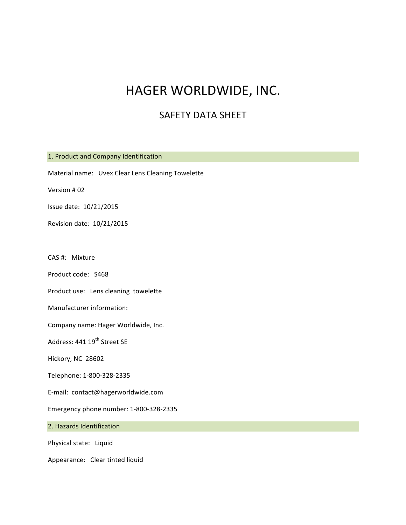## HAGER WORLDWIDE, INC.

### SAFETY DATA SHEET

1. Product and Company Identification Material name: Uvex Clear Lens Cleaning Towelette Version # 02 Issue date: 10/21/2015 Revision date: 10/21/2015 CAS #: Mixture Product code: S468 Product use: Lens cleaning towelette Manufacturer information: Company name: Hager Worldwide, Inc. Address: 441 19<sup>th</sup> Street SE Hickory, NC 28602 Telephone: 1-800-328-2335 E-mail: contact@hagerworldwide.com Emergency phone number: 1-800-328-2335 2. Hazards Identification Physical state: Liquid Appearance: Clear tinted liquid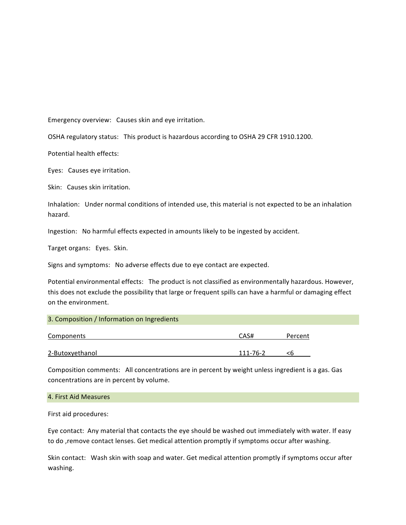Emergency overview: Causes skin and eye irritation.

OSHA regulatory status: This product is hazardous according to OSHA 29 CFR 1910.1200.

Potential health effects:

Eyes: Causes eye irritation.

Skin: Causes skin irritation.

Inhalation: Under normal conditions of intended use, this material is not expected to be an inhalation hazard.

Ingestion: No harmful effects expected in amounts likely to be ingested by accident.

Target organs: Eyes. Skin.

Signs and symptoms: No adverse effects due to eye contact are expected.

Potential environmental effects: The product is not classified as environmentally hazardous. However, this does not exclude the possibility that large or frequent spills can have a harmful or damaging effect on the environment.

| 3. Composition / Information on Ingredients |          |         |
|---------------------------------------------|----------|---------|
| Components                                  | CAS#     | Percent |
| 2-Butoxyethanol                             | 111-76-2 |         |

Composition comments: All concentrations are in percent by weight unless ingredient is a gas. Gas concentrations are in percent by volume.

#### 4. First Aid Measures

First aid procedures:

Eye contact: Any material that contacts the eye should be washed out immediately with water. If easy to do , remove contact lenses. Get medical attention promptly if symptoms occur after washing.

Skin contact: Wash skin with soap and water. Get medical attention promptly if symptoms occur after washing.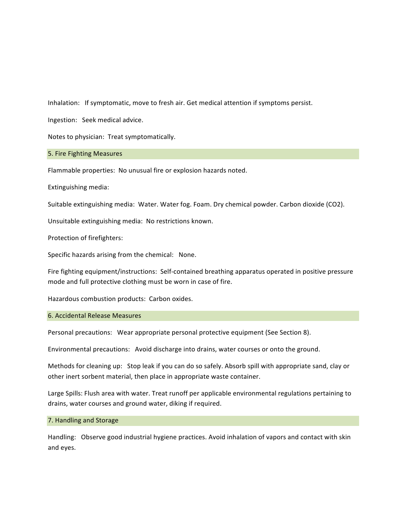Inhalation: If symptomatic, move to fresh air. Get medical attention if symptoms persist.

Ingestion: Seek medical advice.

Notes to physician: Treat symptomatically.

#### 5. Fire Fighting Measures

Flammable properties: No unusual fire or explosion hazards noted.

Extinguishing media:

Suitable extinguishing media: Water. Water fog. Foam. Dry chemical powder. Carbon dioxide (CO2).

Unsuitable extinguishing media: No restrictions known.

Protection of firefighters:

Specific hazards arising from the chemical: None.

Fire fighting equipment/instructions: Self-contained breathing apparatus operated in positive pressure mode and full protective clothing must be worn in case of fire.

Hazardous combustion products: Carbon oxides.

#### 6. Accidental Release Measures

Personal precautions: Wear appropriate personal protective equipment (See Section 8).

Environmental precautions: Avoid discharge into drains, water courses or onto the ground.

Methods for cleaning up: Stop leak if you can do so safely. Absorb spill with appropriate sand, clay or other inert sorbent material, then place in appropriate waste container.

Large Spills: Flush area with water. Treat runoff per applicable environmental regulations pertaining to drains, water courses and ground water, diking if required.

#### 7. Handling and Storage

Handling: Observe good industrial hygiene practices. Avoid inhalation of vapors and contact with skin and eyes.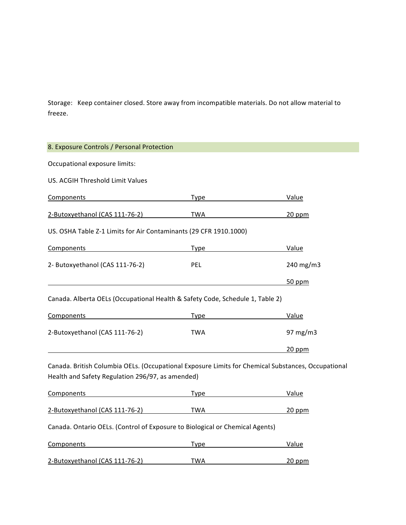Storage: Keep container closed. Store away from incompatible materials. Do not allow material to freeze.

| 8. Exposure Controls / Personal Protection                                                                                                             |                                                                                                                                                                                                                                |                                                                                                                                |
|--------------------------------------------------------------------------------------------------------------------------------------------------------|--------------------------------------------------------------------------------------------------------------------------------------------------------------------------------------------------------------------------------|--------------------------------------------------------------------------------------------------------------------------------|
| Occupational exposure limits:                                                                                                                          |                                                                                                                                                                                                                                |                                                                                                                                |
| US. ACGIH Threshold Limit Values                                                                                                                       |                                                                                                                                                                                                                                |                                                                                                                                |
| Components                                                                                                                                             | Type Type                                                                                                                                                                                                                      | Value                                                                                                                          |
| 2-Butoxyethanol (CAS 111-76-2)                                                                                                                         | TWA                                                                                                                                                                                                                            | $20$ ppm                                                                                                                       |
| US. OSHA Table Z-1 Limits for Air Contaminants (29 CFR 1910.1000)                                                                                      |                                                                                                                                                                                                                                |                                                                                                                                |
| <b>Components</b>                                                                                                                                      | Type                                                                                                                                                                                                                           | Value                                                                                                                          |
| 2- Butoxyethanol (CAS 111-76-2)                                                                                                                        | PEL                                                                                                                                                                                                                            | 240 mg/m3                                                                                                                      |
|                                                                                                                                                        |                                                                                                                                                                                                                                | 50 ppm                                                                                                                         |
| Canada. Alberta OELs (Occupational Health & Safety Code, Schedule 1, Table 2)                                                                          |                                                                                                                                                                                                                                |                                                                                                                                |
| Components                                                                                                                                             | Type                                                                                                                                                                                                                           | Value                                                                                                                          |
| 2-Butoxyethanol (CAS 111-76-2)                                                                                                                         | <b>TWA</b>                                                                                                                                                                                                                     | 97 mg/m3                                                                                                                       |
|                                                                                                                                                        |                                                                                                                                                                                                                                | $20$ ppm                                                                                                                       |
| Canada. British Columbia OELs. (Occupational Exposure Limits for Chemical Substances, Occupational<br>Health and Safety Regulation 296/97, as amended) |                                                                                                                                                                                                                                |                                                                                                                                |
| Components                                                                                                                                             | Type the contract of the contract of the contract of the contract of the contract of the contract of the contract of the contract of the contract of the contract of the contract of the contract of the contract of the contr | Value                                                                                                                          |
| 2-Butoxyethanol (CAS 111-76-2)                                                                                                                         | TWA                                                                                                                                                                                                                            | 20 ppm<br><u> 1980 - Johann Barbara, politik eta politik eta politik eta politik eta politik eta politik eta politik eta p</u> |
| Canada. Ontario OELs. (Control of Exposure to Biological or Chemical Agents)                                                                           |                                                                                                                                                                                                                                |                                                                                                                                |
| Components                                                                                                                                             | <b>Type</b>                                                                                                                                                                                                                    | Value                                                                                                                          |
| 2-Butoxyethanol (CAS 111-76-2)                                                                                                                         | TWA                                                                                                                                                                                                                            | $20$ ppm                                                                                                                       |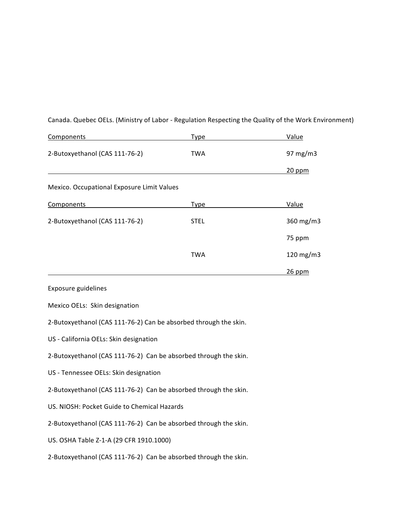| Components                                 | Type        | Value       |
|--------------------------------------------|-------------|-------------|
| 2-Butoxyethanol (CAS 111-76-2)             | TWA         | 97 $mg/m3$  |
|                                            |             | $20$ ppm    |
| Mexico. Occupational Exposure Limit Values |             |             |
| Components                                 | <b>Type</b> | Value       |
| 2-Butoxyethanol (CAS 111-76-2)             | <b>STEL</b> | 360 mg/m3   |
|                                            |             | 75 ppm      |
|                                            | <b>TWA</b>  | 120 $mg/m3$ |
|                                            |             | $26$ ppm    |

Canada. Quebec OELs. (Ministry of Labor - Regulation Respecting the Quality of the Work Environment)

Exposure guidelines

Mexico OELs: Skin designation

2-Butoxyethanol (CAS 111-76-2) Can be absorbed through the skin.

US - California OELs: Skin designation

2-Butoxyethanol (CAS 111-76-2) Can be absorbed through the skin.

US - Tennessee OELs: Skin designation

2-Butoxyethanol (CAS 111-76-2) Can be absorbed through the skin.

US. NIOSH: Pocket Guide to Chemical Hazards

2-Butoxyethanol (CAS 111-76-2) Can be absorbed through the skin.

US. OSHA Table Z-1-A (29 CFR 1910.1000)

2-Butoxyethanol (CAS 111-76-2) Can be absorbed through the skin.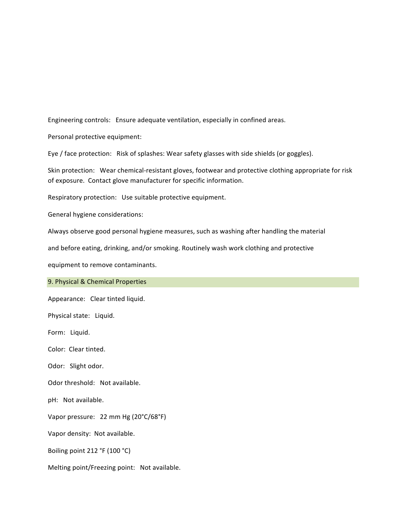Engineering controls: Ensure adequate ventilation, especially in confined areas.

Personal protective equipment:

Eye / face protection: Risk of splashes: Wear safety glasses with side shields (or goggles).

Skin protection: Wear chemical-resistant gloves, footwear and protective clothing appropriate for risk of exposure. Contact glove manufacturer for specific information.

Respiratory protection: Use suitable protective equipment.

General hygiene considerations:

Always observe good personal hygiene measures, such as washing after handling the material

and before eating, drinking, and/or smoking. Routinely wash work clothing and protective

equipment to remove contaminants.

9. Physical & Chemical Properties

Appearance: Clear tinted liquid.

Physical state: Liquid.

Form: Liquid.

Color: Clear tinted.

Odor: Slight odor.

Odor threshold: Not available.

pH: Not available.

Vapor pressure: 22 mm Hg (20°C/68°F)

Vapor density: Not available.

Boiling point 212 °F (100 °C)

Melting point/Freezing point: Not available.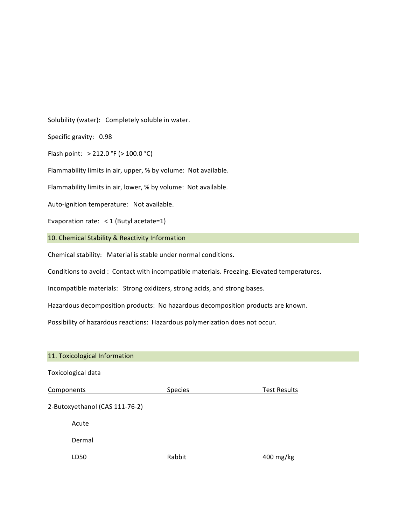Solubility (water): Completely soluble in water.

Specific gravity: 0.98

Flash point:  $> 212.0 °F$  ( $> 100.0 °C$ )

Flammability limits in air, upper, % by volume: Not available.

Flammability limits in air, lower, % by volume: Not available.

Auto-ignition temperature: Not available.

Evaporation rate:  $\langle 1 \rangle$  (Butyl acetate=1)

10. Chemical Stability & Reactivity Information

Chemical stability: Material is stable under normal conditions.

Conditions to avoid : Contact with incompatible materials. Freezing. Elevated temperatures.

Incompatible materials: Strong oxidizers, strong acids, and strong bases.

Hazardous decomposition products: No hazardous decomposition products are known.

Possibility of hazardous reactions: Hazardous polymerization does not occur.

# 11. Toxicological Information Toxicological data **Components** Components Species Test Results 2-Butoxyethanol (CAS 111-76-2) Acute Dermal LD50 Rabbit 400 mg/kg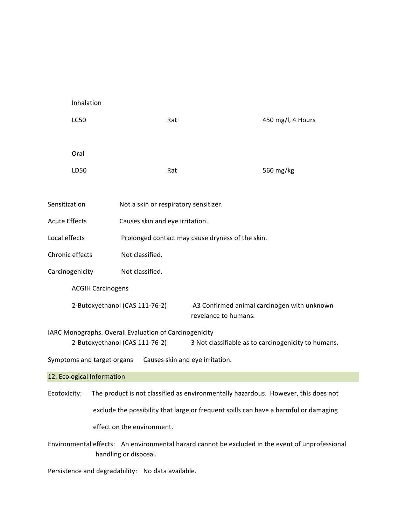| Inhalation                 |                                                                                          |                                                  |                                                                                                  |
|----------------------------|------------------------------------------------------------------------------------------|--------------------------------------------------|--------------------------------------------------------------------------------------------------|
| <b>LC50</b>                | Rat                                                                                      |                                                  | 450 mg/l, 4 Hours                                                                                |
|                            |                                                                                          |                                                  |                                                                                                  |
| Oral                       |                                                                                          |                                                  |                                                                                                  |
| LD50                       | Rat                                                                                      |                                                  | 560 mg/kg                                                                                        |
|                            |                                                                                          |                                                  |                                                                                                  |
| Sensitization              | Not a skin or respiratory sensitizer.                                                    |                                                  |                                                                                                  |
| <b>Acute Effects</b>       | Causes skin and eye irritation.                                                          |                                                  |                                                                                                  |
| Local effects              |                                                                                          | Prolonged contact may cause dryness of the skin. |                                                                                                  |
| Chronic effects            | Not classified.                                                                          |                                                  |                                                                                                  |
| Carcinogenicity            | Not classified.                                                                          |                                                  |                                                                                                  |
| <b>ACGIH Carcinogens</b>   |                                                                                          |                                                  |                                                                                                  |
|                            | 2-Butoxyethanol (CAS 111-76-2)                                                           | revelance to humans.                             | A3 Confirmed animal carcinogen with unknown                                                      |
|                            | IARC Monographs. Overall Evaluation of Carcinogenicity<br>2-Butoxyethanol (CAS 111-76-2) |                                                  | 3 Not classifiable as to carcinogenicity to humans.                                              |
| Symptoms and target organs | Causes skin and eye irritation.                                                          |                                                  |                                                                                                  |
| 12. Ecological Information |                                                                                          |                                                  |                                                                                                  |
|                            |                                                                                          |                                                  | Ecotoxicity: The product is not classified as environmentally hazardous. However, this does not  |
|                            |                                                                                          |                                                  | exclude the possibility that large or frequent spills can have a harmful or damaging             |
|                            | effect on the environment.                                                               |                                                  |                                                                                                  |
|                            | handling or disposal.                                                                    |                                                  | Environmental effects: An environmental hazard cannot be excluded in the event of unprofessional |

Persistence and degradability: No data available.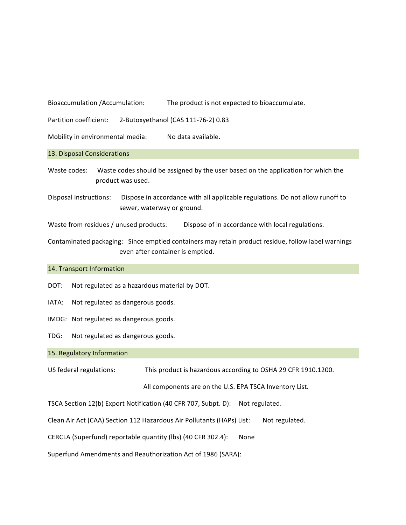Bioaccumulation /Accumulation: The product is not expected to bioaccumulate.

Partition coefficient: 2-Butoxyethanol (CAS 111-76-2) 0.83

Mobility in environmental media: No data available.

13. Disposal Considerations

Waste codes: Waste codes should be assigned by the user based on the application for which the product was used.

Disposal instructions: Dispose in accordance with all applicable regulations. Do not allow runoff to sewer, waterway or ground.

Waste from residues / unused products: Dispose of in accordance with local regulations.

Contaminated packaging: Since emptied containers may retain product residue, follow label warnings even after container is emptied.

#### 14. Transport Information

- DOT: Not regulated as a hazardous material by DOT.
- IATA: Not regulated as dangerous goods.
- IMDG: Not regulated as dangerous goods.
- TDG: Not regulated as dangerous goods.

#### 15. Regulatory Information

US federal regulations: This product is hazardous according to OSHA 29 CFR 1910.1200.

All components are on the U.S. EPA TSCA Inventory List.

TSCA Section 12(b) Export Notification (40 CFR 707, Subpt. D): Not regulated.

Clean Air Act (CAA) Section 112 Hazardous Air Pollutants (HAPs) List: Not regulated.

CERCLA (Superfund) reportable quantity (lbs) (40 CFR 302.4): None

Superfund Amendments and Reauthorization Act of 1986 (SARA):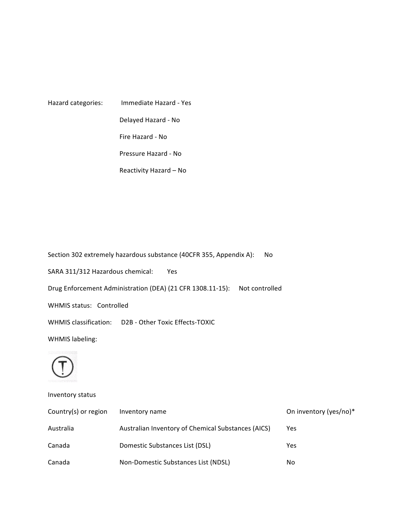| Hazard categories: | Immediate Hazard - Yes |  |
|--------------------|------------------------|--|
|                    | Delayed Hazard - No    |  |
|                    | Fire Hazard - No       |  |
|                    | Pressure Hazard - No   |  |
|                    | Reactivity Hazard – No |  |

Section 302 extremely hazardous substance (40CFR 355, Appendix A): No SARA 311/312 Hazardous chemical: Yes Drug Enforcement Administration (DEA) (21 CFR 1308.11-15): Not controlled WHMIS status: Controlled WHMIS classification: D2B - Other Toxic Effects-TOXIC WHMIS labeling:



Inventory status

| Country(s) or region | Inventory name                                     | On inventory (yes/no)* |
|----------------------|----------------------------------------------------|------------------------|
| Australia            | Australian Inventory of Chemical Substances (AICS) | Yes                    |
| Canada               | Domestic Substances List (DSL)                     | Yes                    |
| Canada               | Non-Domestic Substances List (NDSL)                | No                     |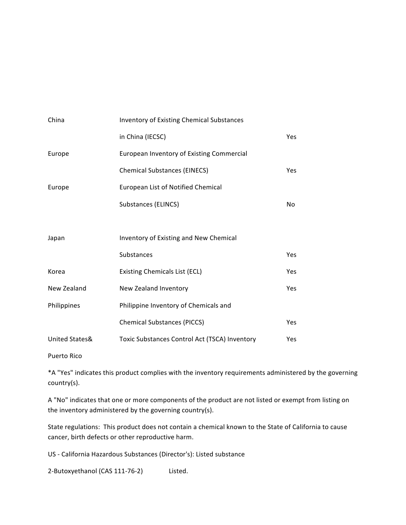| China          | <b>Inventory of Existing Chemical Substances</b> |                |
|----------------|--------------------------------------------------|----------------|
|                | in China (IECSC)                                 | Yes            |
| Europe         | European Inventory of Existing Commercial        |                |
|                | <b>Chemical Substances (EINECS)</b>              | Yes            |
| Europe         | European List of Notified Chemical               |                |
|                | Substances (ELINCS)                              | N <sub>0</sub> |
|                |                                                  |                |
| Japan          | Inventory of Existing and New Chemical           |                |
|                | Substances                                       | Yes            |
| Korea          | <b>Existing Chemicals List (ECL)</b>             | Yes            |
| New Zealand    | New Zealand Inventory                            | Yes            |
| Philippines    | Philippine Inventory of Chemicals and            |                |
|                | <b>Chemical Substances (PICCS)</b>               | Yes            |
| United States& | Toxic Substances Control Act (TSCA) Inventory    | Yes            |
|                |                                                  |                |

Puerto Rico

\*A "Yes" indicates this product complies with the inventory requirements administered by the governing country(s).

A "No" indicates that one or more components of the product are not listed or exempt from listing on the inventory administered by the governing country(s).

State regulations: This product does not contain a chemical known to the State of California to cause cancer, birth defects or other reproductive harm.

US - California Hazardous Substances (Director's): Listed substance

2-Butoxyethanol (CAS 111-76-2) Listed.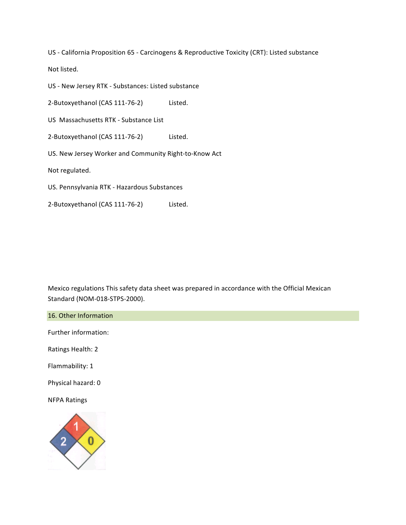US - California Proposition 65 - Carcinogens & Reproductive Toxicity (CRT): Listed substance

Not listed.

US - New Jersey RTK - Substances: Listed substance

2-Butoxyethanol (CAS 111-76-2) Listed.

US Massachusetts RTK - Substance List

2-Butoxyethanol (CAS 111-76-2) Listed.

US. New Jersey Worker and Community Right-to-Know Act

Not regulated.

US. Pennsylvania RTK - Hazardous Substances

2-Butoxyethanol (CAS 111-76-2) Listed.

Mexico regulations This safety data sheet was prepared in accordance with the Official Mexican Standard (NOM-018-STPS-2000).

16. Other Information

Further information:

Ratings Health: 2

Flammability: 1

Physical hazard: 0

**NFPA Ratings**